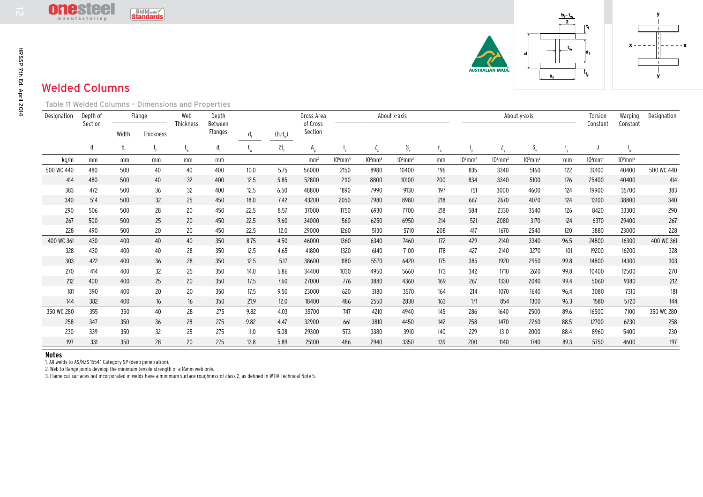$- - x$ 

## Welded Columns

|                          |                                                                                                     | <u>Uiluslee</u><br>manufacturing |                                                               | <b>Build with</b><br><b>Standards</b> |                  |                                     |                |             |                        |                       |              |                           |                           |                       |              |              | $\frac{b_f-t_w}{2}$ |                       |                           |             |
|--------------------------|-----------------------------------------------------------------------------------------------------|----------------------------------|---------------------------------------------------------------|---------------------------------------|------------------|-------------------------------------|----------------|-------------|------------------------|-----------------------|--------------|---------------------------|---------------------------|-----------------------|--------------|--------------|---------------------|-----------------------|---------------------------|-------------|
| HRSSP 7th Ed. April 2014 | $ t_{f} $<br>1d <sub>1</sub><br>d<br>AUSTRAL <b>I</b> AN MADĪ<br>∣t.<br>b.<br><b>Welded Columns</b> |                                  |                                                               |                                       |                  |                                     |                |             |                        |                       |              |                           |                           |                       |              |              | y                   |                       |                           |             |
|                          |                                                                                                     |                                  | Table 11 Welded Columns - Dimensions and Properties<br>Flange |                                       |                  |                                     |                |             |                        |                       | About x-axis |                           |                           |                       |              |              |                     |                       |                           |             |
|                          | Designation                                                                                         | Depth of<br>Section              |                                                               |                                       | Web<br>Thickness | Depth<br>Between                    |                |             | Gross Area<br>of Cross |                       |              |                           |                           |                       |              | About y-axis |                     | Torsion<br>Constant   | Warping<br>Constant       | Designation |
|                          |                                                                                                     |                                  | Width                                                         | Thickness                             |                  | Flanges                             | $\mathsf{d}_1$ | $(b_f-t_w)$ | Section                |                       |              |                           |                           |                       |              |              |                     |                       |                           |             |
|                          |                                                                                                     | d                                | $\mathsf{b}_{\scriptscriptstyle \sf f}$                       |                                       | $t_{w}$          | $\mathsf{d}_{\scriptscriptstyle 1}$ | $t_{w}$        | $2t_f$      | $A_{q}$                |                       | $Z_{x}$      | $\mathsf{S}_{\mathsf{x}}$ | $\mathsf{r}_{\mathsf{x}}$ |                       | $Z_{y}$      | $S_{y}$      | $r_{y}$             | J                     | $\mathsf{l}_{\mathsf{w}}$ |             |
|                          | kg/m                                                                                                | mm                               | mm                                                            | mm                                    | mm               | mm                                  |                |             | mm <sup>2</sup>        | $106$ mm <sup>4</sup> | $103$ mm $3$ | $103$ mm $3$              | mm                        | $106$ mm <sup>4</sup> | $103$ mm $3$ | $103$ mm $3$ | mm                  | $103$ mm <sup>4</sup> | $10^9$ mm <sup>6</sup>    |             |
|                          | 500 WC 440                                                                                          | 480                              | 500                                                           | 40                                    | 40               | 400                                 | 10.0           | 5.75        | 56000                  | 2150                  | 8980         | 10400                     | 196                       | 835                   | 3340         | 5160         | 122                 | 30100                 | 40400                     | 500 WC 440  |
|                          | 414                                                                                                 | 480                              | 500                                                           | 40                                    | 32               | 400                                 | 12.5           | 5.85        | 52800                  | 2110                  | 8800         | 10100                     | 200                       | 834                   | 3340         | 5100         | 126                 | 25400                 | 40400                     | 414         |
|                          | 383                                                                                                 | 472                              | 500                                                           | 36                                    | 32               | 400                                 | 12.5           | 6.50        | 48800                  | 1890                  | 7990         | 9130                      | 197                       | 751                   | 3000         | 4600         | 124                 | 19900                 | 35700                     | 383         |
|                          | 340                                                                                                 | 514                              | 500                                                           | 32                                    | 25               | 450                                 | 18.0           | 7.42        | 43200                  | 2050                  | 7980         | 8980                      | 218                       | 667                   | 2670         | 4070         | 124                 | 13100                 | 38800                     | 340         |
|                          | 290                                                                                                 | 506                              | 500                                                           | 28                                    | 20               | 450                                 | 22.5           | 8.57        | 37000                  | 1750                  | 6930         | 7700                      | 218                       | 584                   | 2330         | 3540         | 126                 | 8420                  | 33300                     | 290         |
|                          | 267                                                                                                 | 500                              | 500                                                           | 25                                    | 20               | 450                                 | 22.5           | 9.60        | 34000                  | 1560                  | 6250         | 6950                      | 214                       | 521                   | 2080         | 3170         | 124                 | 6370                  | 29400                     | 267         |
|                          | 228                                                                                                 | 490                              | 500                                                           | 20                                    | 20               | 450                                 | 22.5           | 12.0        | 29000                  | 1260                  | 5130         | 5710                      | 208                       | 417                   | 1670         | 2540         | 120                 | 3880                  | 23000                     | 228         |
|                          | 400 WC 361                                                                                          | 430                              | 400                                                           | 40                                    | 40               | 350                                 | 8.75           | 4.50        | 46000                  | 1360                  | 6340         | 7460                      | 172                       | 429                   | 2140         | 3340         | 96.5                | 24800                 | 16300                     | 400 WC 361  |
|                          | 328                                                                                                 | 430                              | 400                                                           | 40                                    | 28               | 350                                 | 12.5           | 4.65        | 41800                  | 1320                  | 6140         | 7100                      | 178                       | 427                   | 2140         | 3270         | 101                 | 19200                 | 16200                     | 328         |
|                          | 303                                                                                                 | 422                              | 400                                                           | 36                                    | 28               | 350                                 | 12.5           | 5.17        | 38600                  | 1180                  | 5570         | 6420                      | 175                       | 385                   | 1920         | 2950         | 99.8                | 14800                 | 14300                     | 303         |
|                          | 270                                                                                                 | 414                              | 400                                                           | 32                                    | 25               | 350                                 | 14.0           | 5.86        | 34400                  | 1030                  | 4950         | 5660                      | 173                       | 342                   | 1710         | 2610         | 99.8                | 10400                 | 12500                     | 270         |
|                          | 212                                                                                                 | 400                              | 400                                                           | 25                                    | 20               | 350                                 | 17.5           | 7.60        | 27000                  | 776                   | 3880         | 4360                      | 169                       | 267                   | 1330         | 2040         | 99.4                | 5060                  | 9380                      | 212         |
|                          | 181                                                                                                 | 390                              | 400                                                           | 20                                    | 20               | 350                                 | 17.5           | 9.50        | 23000                  | 620                   | 3180         | 3570                      | 164                       | 214                   | 1070         | 1640         | 96.4                | 3080                  | 7310                      | 181         |
|                          | 144                                                                                                 | 382                              | 400                                                           | 16                                    | 16               | 350                                 | 21.9           | 12.0        | 18400                  | 486                   | 2550         | 2830                      | 163                       | 171                   | 854          | 1300         | 96.3                | 1580                  | 5720                      | 144         |
|                          | 350 WC 280                                                                                          | 355                              | 350                                                           | 40                                    | 28               | 275                                 | 9.82           | 4.03        | 35700                  | 747                   | 4210         | 4940                      | 145                       | 286                   | 1640         | 2500         | 89.6                | 16500                 | 7100                      | 350 WC 280  |
|                          | 258                                                                                                 | 347                              | 350                                                           | 36                                    | 28               | 275                                 | 9.82           | 4.47        | 32900                  | 661                   | 3810         | 4450                      | 142                       | 258                   | 1470         | 2260         | 88.5                | 12700                 | 6230                      | 258         |
|                          | 230                                                                                                 | 339                              | 350                                                           | 32                                    | 25               | 275                                 | 11.0           | 5.08        | 29300                  | 573                   | 3380         | 3910                      | 140                       | 229                   | 1310         | 2000         | 88.4                | 8960                  | 5400                      | 230         |
|                          | 197                                                                                                 | 331                              | 350                                                           | 28                                    | 20               | 275                                 | 13.8           | 5.89        | 25100                  | 486                   | 2940         | 3350                      | 139                       | 200                   | 1140         | 1740         | 89.3                | 5750                  | 4600                      | 197         |

## **Notes**

1. All welds to AS/NZS 1554.1 Category SP (deep penetration).

2. Web to flange joints develop the minimum tensile strength of a 16mm web only.

3. Flame cut surfaces not incorporated in welds have a minimum surface roughness of class 2, as defined in WTIA Technical Note 5.